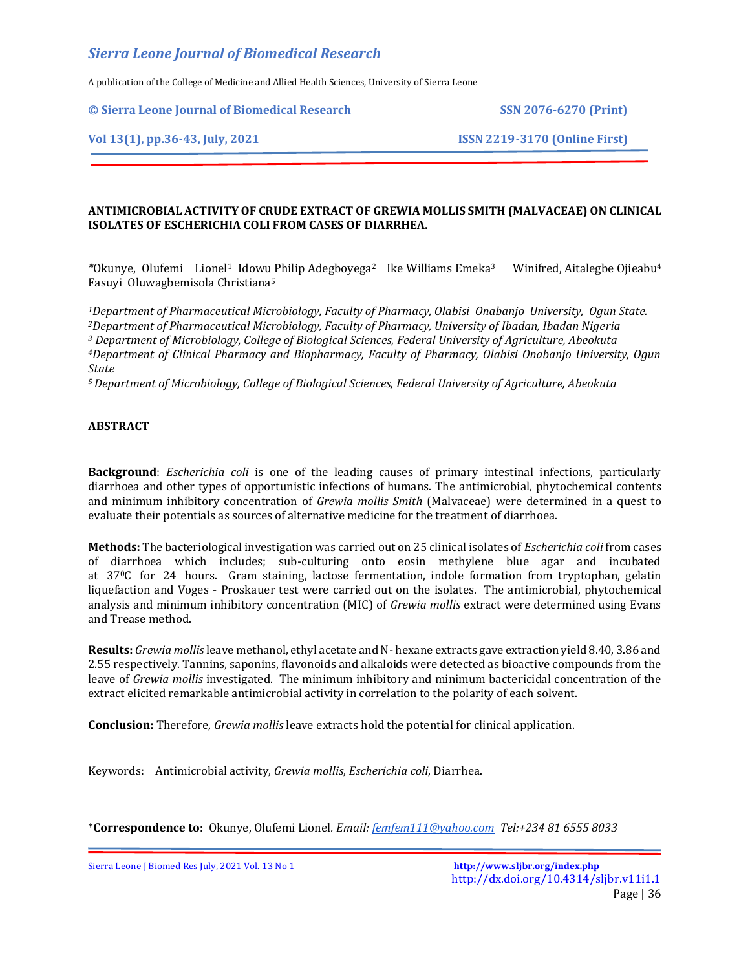A publication of the College of Medicine and Allied Health Sciences, University of Sierra Leone

**© Sierra Leone Journal of Biomedical Research SSN 2076-6270 (Print)**

## **Vol 13(1), pp.36-43, July, 2021 ISSN 2219-3170 (Online First)**

## **ANTIMICROBIAL ACTIVITY OF CRUDE EXTRACT OF GREWIA MOLLIS SMITH (MALVACEAE) ON CLINICAL ISOLATES OF ESCHERICHIA COLI FROM CASES OF DIARRHEA.**

*\**Okunye, Olufemi Lionel<sup>1</sup> Idowu Philip Adegboyega<sup>2</sup> Ike Williams Emeka<sup>3</sup> Winifred, Aitalegbe Ojieabu<sup>4</sup> Fasuyi Oluwagbemisola Christiana<sup>5</sup>

*Department of Pharmaceutical Microbiology, Faculty of Pharmacy, Olabisi Onabanjo University, Ogun State. Department of Pharmaceutical Microbiology, Faculty of Pharmacy, University of Ibadan, Ibadan Nigeria Department of Microbiology, College of Biological Sciences, Federal University of Agriculture, Abeokuta Department of Clinical Pharmacy and Biopharmacy, Faculty of Pharmacy, Olabisi Onabanjo University, Ogun State*

*<sup>5</sup>Department of Microbiology, College of Biological Sciences, Federal University of Agriculture, Abeokuta*

## **ABSTRACT**

**Background**: *Escherichia coli* is one of the leading causes of primary intestinal infections, particularly diarrhoea and other types of opportunistic infections of humans. The antimicrobial, phytochemical contents and minimum inhibitory concentration of *Grewia mollis Smith* (Malvaceae) were determined in a quest to evaluate their potentials as sources of alternative medicine for the treatment of diarrhoea.

**Methods:** The bacteriological investigation was carried out on 25 clinical isolates of *Escherichia coli* from cases of diarrhoea which includes; sub-culturing onto eosin methylene blue agar and incubated at 370C for 24 hours. Gram staining, lactose fermentation, indole formation from tryptophan, gelatin liquefaction and Voges - Proskauer test were carried out on the isolates. The antimicrobial, phytochemical analysis and minimum inhibitory concentration (MIC) of *Grewia mollis* extract were determined using Evans and Trease method.

**Results:** *Grewia mollis*leave methanol, ethyl acetate and N- hexane extracts gave extraction yield 8.40, 3.86 and 2.55 respectively. Tannins, saponins, flavonoids and alkaloids were detected as bioactive compounds from the leave of *Grewia mollis* investigated. The minimum inhibitory and minimum bactericidal concentration of the extract elicited remarkable antimicrobial activity in correlation to the polarity of each solvent.

**Conclusion:** Therefore, *Grewia mollis* leave extracts hold the potential for clinical application.

Keywords: Antimicrobial activity, *Grewia mollis*, *Escherichia coli*, Diarrhea.

\***Correspondence to:** Okunye, Olufemi Lionel*. Email[: femfem111@yahoo.com](mailto:femfem111@yahoo.com) Tel:+234 81 6555 8033*

Sierra Leone J Biomed Res July, 2021 Vol. 13 No 1 **<http://www.sljbr.org/index.php>**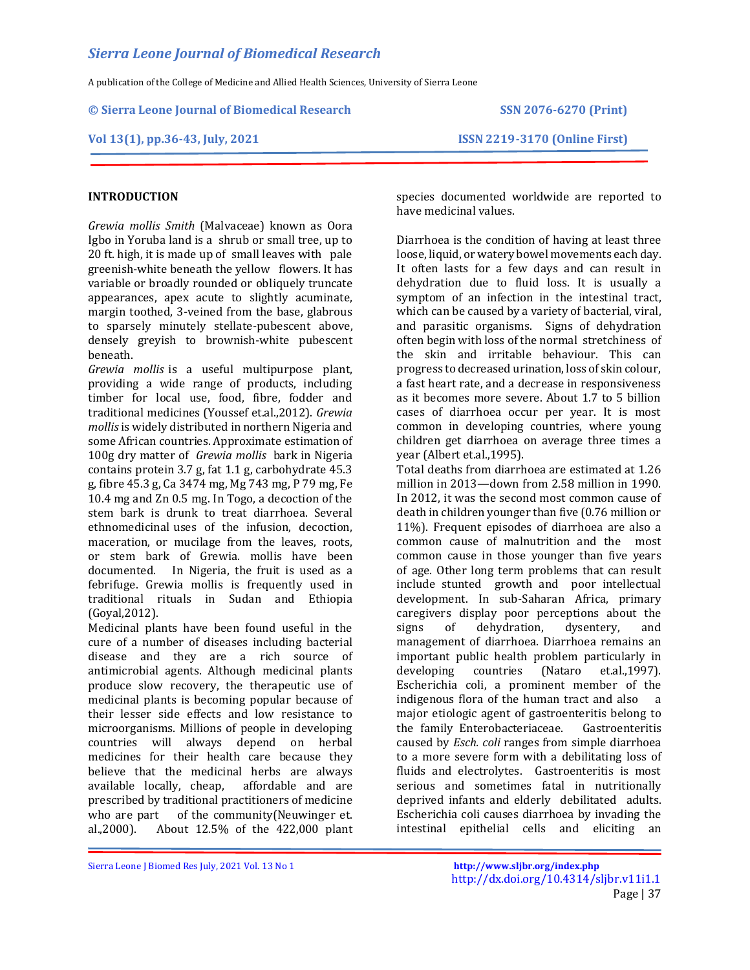A publication of the College of Medicine and Allied Health Sciences, University of Sierra Leone

**© Sierra Leone Journal of Biomedical Research SSN 2076-6270 (Print)**

### **Vol 13(1), pp.36-43, July, 2021 ISSN 2219-3170 (Online First)**

## **INTRODUCTION**

*Grewia mollis Smith* (Malvaceae) known as Oora Igbo in Yoruba land is a shrub or small tree, up to 20 ft. high, it is made up of small leaves with pale greenish-white beneath the yellow flowers. It has variable or broadly rounded or obliquely truncate appearances, apex acute to slightly acuminate, margin toothed, 3-veined from the base, glabrous to sparsely minutely stellate-pubescent above, densely greyish to brownish-white pubescent beneath.

*Grewia mollis* is a useful multipurpose plant, providing a wide range of products, including timber for local use, food, fibre, fodder and traditional medicines (Youssef et.al.,2012). *Grewia mollis* is widely distributed in northern Nigeria and some African countries. Approximate estimation of 100g dry matter of *Grewia mollis* bark in Nigeria contains protein 3.7 g, fat 1.1 g, carbohydrate 45.3 g, fibre 45.3 g, Ca 3474 mg, Mg 743 mg, P 79 mg, Fe 10.4 mg and Zn 0.5 mg. In Togo, a decoction of the stem bark is drunk to treat diarrhoea. Several ethnomedicinal uses of the infusion, decoction, maceration, or mucilage from the leaves, roots, or stem bark of Grewia. mollis have been documented. In Nigeria, the fruit is used as a febrifuge. Grewia mollis is frequently used in traditional rituals in Sudan and Ethiopia (Goyal,2012).

Medicinal plants have been found useful in the cure of a number of diseases including bacterial disease and they are a rich source of antimicrobial agents. Although medicinal plants produce slow recovery, the therapeutic use of medicinal plants is becoming popular because of their lesser side effects and low resistance to microorganisms. Millions of people in developing countries will always depend on herbal medicines for their health care because they believe that the medicinal herbs are always available locally, cheap, affordable and are prescribed by traditional practitioners of medicine who are part of the community(Neuwinger et. al.,2000). About 12.5% of the 422,000 plant

species documented worldwide are reported to have medicinal values.

Diarrhoea is the condition of having at least three loose, liquid, or watery bowel movements each day. It often lasts for a few days and can result in dehydration due to fluid loss. It is usually a symptom of an infection in the intestinal tract, which can be caused by a variety of bacterial, viral, and parasitic organisms. Signs of dehydration often begin with loss of the normal stretchiness of the skin and irritable behaviour. This can progress to decreased urination, loss of skin colour, a fast heart rate, and a decrease in responsiveness as it becomes more severe. About 1.7 to 5 billion cases of diarrhoea occur per year. It is most common in developing countries, where young children get diarrhoea on average three times a year (Albert et.al.,1995).

Total deaths from diarrhoea are estimated at 1.26 million in 2013—down from 2.58 million in 1990. In 2012, it was the second most common cause of death in children younger than five (0.76 million or 11%). Frequent episodes of diarrhoea are also a common cause of malnutrition and the most common cause in those younger than five years of age. Other long term problems that can result include stunted growth and poor intellectual development. In sub-Saharan Africa, primary caregivers display poor perceptions about the signs of dehydration, dysentery, and management of diarrhoea. Diarrhoea remains an important public health problem particularly in developing countries (Nataro et.al.,1997). Escherichia coli, a prominent member of the indigenous flora of the human tract and also a major etiologic agent of gastroenteritis belong to the family Enterobacteriaceae. Gastroenteritis caused by *Esch. coli* ranges from simple diarrhoea to a more severe form with a debilitating loss of fluids and electrolytes. Gastroenteritis is most serious and sometimes fatal in nutritionally deprived infants and elderly debilitated adults. Escherichia coli causes diarrhoea by invading the intestinal epithelial cells and eliciting an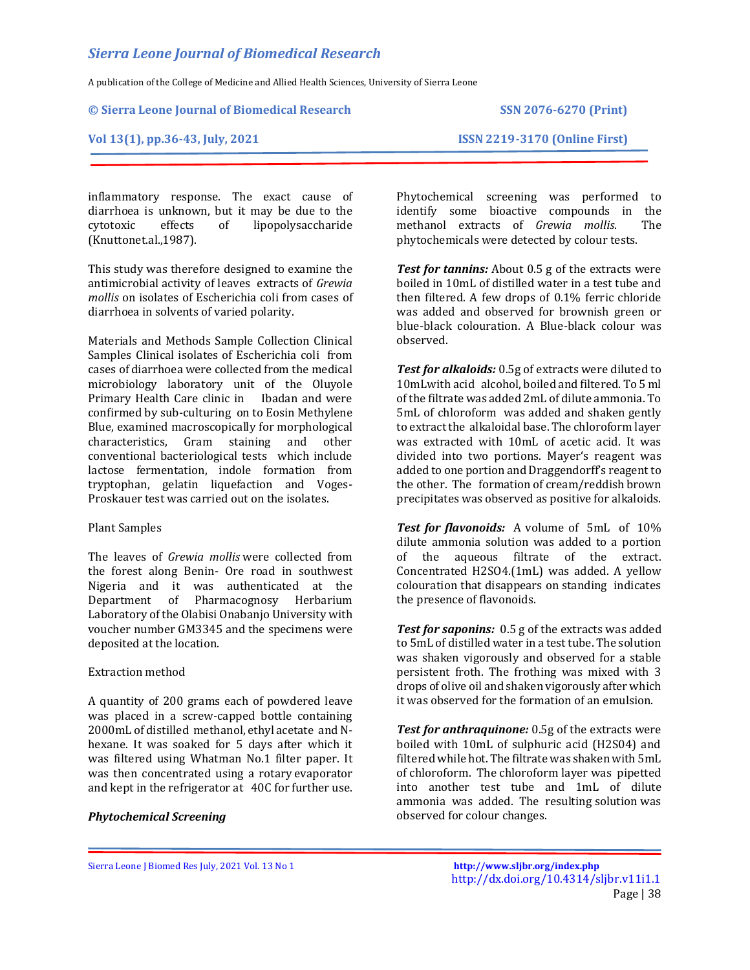A publication of the College of Medicine and Allied Health Sciences, University of Sierra Leone

#### **© Sierra Leone Journal of Biomedical Research SSN 2076-6270 (Print)**

**Vol 13(1), pp.36-43, July, 2021 ISSN 2219-3170 (Online First)**

inflammatory response. The exact cause of diarrhoea is unknown, but it may be due to the cytotoxic effects of lipopolysaccharide (Knuttonet.al.,1987).

This study was therefore designed to examine the antimicrobial activity of leaves extracts of *Grewia mollis* on isolates of Escherichia coli from cases of diarrhoea in solvents of varied polarity.

Materials and Methods Sample Collection Clinical Samples Clinical isolates of Escherichia coli from cases of diarrhoea were collected from the medical microbiology laboratory unit of the Oluyole Primary Health Care clinic in Ibadan and were confirmed by sub-culturing on to Eosin Methylene Blue, examined macroscopically for morphological characteristics, Gram staining and other conventional bacteriological tests which include lactose fermentation, indole formation from tryptophan, gelatin liquefaction and Voges-Proskauer test was carried out on the isolates.

#### Plant Samples

The leaves of *Grewia mollis* were collected from the forest along Benin- Ore road in southwest Nigeria and it was authenticated at the Department of Pharmacognosy Herbarium Laboratory of the Olabisi Onabanjo University with voucher number GM3345 and the specimens were deposited at the location.

#### Extraction method

A quantity of 200 grams each of powdered leave was placed in a screw-capped bottle containing 2000mL of distilled methanol, ethyl acetate and Nhexane. It was soaked for 5 days after which it was filtered using Whatman No.1 filter paper. It was then concentrated using a rotary evaporator and kept in the refrigerator at 40C for further use.

### *Phytochemical Screening*

Phytochemical screening was performed to identify some bioactive compounds in the methanol extracts of *Grewia mollis*. The phytochemicals were detected by colour tests.

*Test for tannins:* About 0.5 g of the extracts were boiled in 10mL of distilled water in a test tube and then filtered. A few drops of 0.1% ferric chloride was added and observed for brownish green or blue-black colouration. A Blue-black colour was observed.

*Test for alkaloids:* 0.5g of extracts were diluted to 10mLwith acid alcohol, boiled and filtered. To 5 ml of the filtrate was added 2mL of dilute ammonia. To 5mL of chloroform was added and shaken gently to extract the alkaloidal base. The chloroform layer was extracted with 10mL of acetic acid. It was divided into two portions. Mayer's reagent was added to one portion and Draggendorff's reagent to the other. The formation of cream/reddish brown precipitates was observed as positive for alkaloids.

*Test for flavonoids:* A volume of 5mL of 10% dilute ammonia solution was added to a portion of the aqueous filtrate of the extract. Concentrated H2SO4.(1mL) was added. A yellow colouration that disappears on standing indicates the presence of flavonoids.

*Test for saponins:* 0.5 g of the extracts was added to 5mL of distilled water in a test tube. The solution was shaken vigorously and observed for a stable persistent froth. The frothing was mixed with 3 drops of olive oil and shaken vigorously after which it was observed for the formation of an emulsion.

*Test for anthraquinone:* 0.5g of the extracts were boiled with 10mL of sulphuric acid (H2S04) and filtered while hot. The filtrate was shaken with 5mL of chloroform. The chloroform layer was pipetted into another test tube and 1mL of dilute ammonia was added. The resulting solution was observed for colour changes.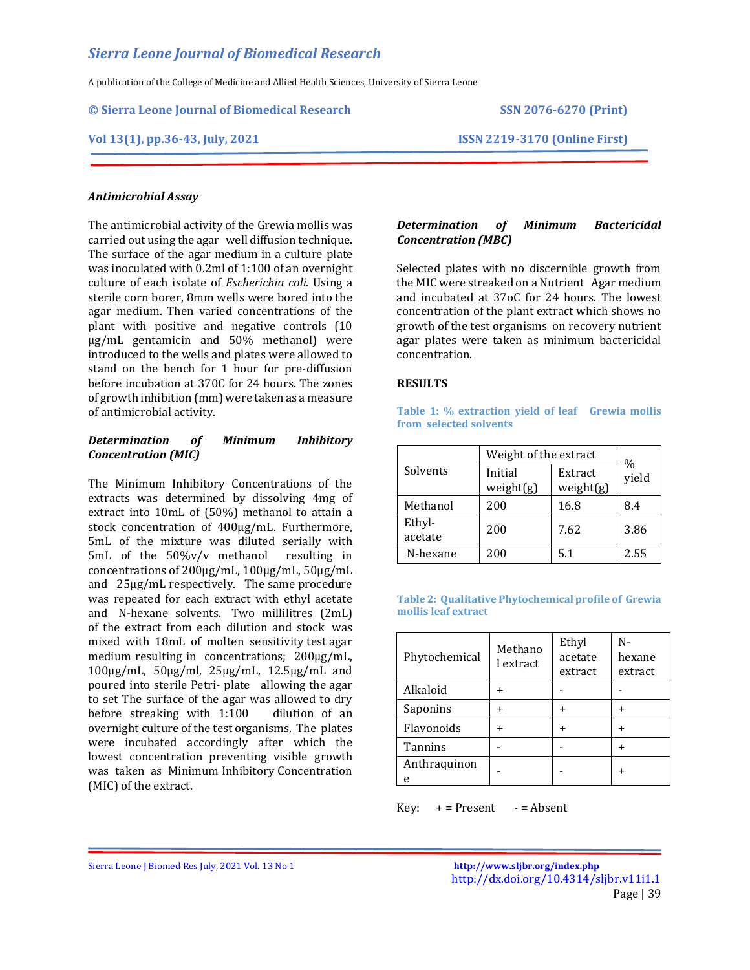A publication of the College of Medicine and Allied Health Sciences, University of Sierra Leone

**© Sierra Leone Journal of Biomedical Research SSN 2076-6270 (Print)**

### **Vol 13(1), pp.36-43, July, 2021 ISSN 2219-3170 (Online First)**

### *Antimicrobial Assay*

The antimicrobial activity of the Grewia mollis was carried out using the agar well diffusion technique. The surface of the agar medium in a culture plate was inoculated with 0.2ml of 1:100 of an overnight culture of each isolate of *Escherichia coli.* Using a sterile corn borer, 8mm wells were bored into the agar medium. Then varied concentrations of the plant with positive and negative controls (10 µg/mL gentamicin and 50% methanol) were introduced to the wells and plates were allowed to stand on the bench for 1 hour for pre-diffusion before incubation at 370C for 24 hours. The zones of growth inhibition (mm) were taken as a measure of antimicrobial activity.

### *Determination of Minimum Inhibitory Concentration (MIC)*

The Minimum Inhibitory Concentrations of the extracts was determined by dissolving 4mg of extract into 10mL of (50%) methanol to attain a stock concentration of 400µg/mL. Furthermore, 5mL of the mixture was diluted serially with 5mL of the 50%v/v methanol resulting in concentrations of 200µg/mL, 100µg/mL, 50µg/mL and 25µg/mL respectively. The same procedure was repeated for each extract with ethyl acetate and N-hexane solvents. Two millilitres (2mL) of the extract from each dilution and stock was mixed with 18mL of molten sensitivity test agar medium resulting in concentrations;  $200\mu g/mL$ , 100µg/mL, 50µg/ml, 25µg/mL, 12.5µg/mL and poured into sterile Petri- plate allowing the agar to set The surface of the agar was allowed to dry before streaking with 1:100 dilution of an overnight culture of the test organisms. The plates were incubated accordingly after which the lowest concentration preventing visible growth was taken as Minimum Inhibitory Concentration (MIC) of the extract.

## *Determination of Minimum Bactericidal Concentration (MBC)*

Selected plates with no discernible growth from the MIC were streaked on a Nutrient Agar medium and incubated at 37oC for 24 hours. The lowest concentration of the plant extract which shows no growth of the test organisms on recovery nutrient agar plates were taken as minimum bactericidal concentration.

### **RESULTS**

**Table 1: % extraction yield of leaf Grewia mollis from selected solvents**

|                   | Weight of the extract | $\frac{0}{0}$        |       |
|-------------------|-----------------------|----------------------|-------|
| Solvents          | Initial<br>weight(g)  | Extract<br>weight(g) | yield |
| Methanol          | 200                   | 16.8                 | 8.4   |
| Ethyl-<br>acetate | 200                   | 7.62                 | 3.86  |
| N-hexane          | 200                   | 5.1                  | 2.55  |

**Table 2: Qualitative Phytochemical profile of Grewia mollis leaf extract**

| Phytochemical | Methano<br>l extract | Ethyl<br>acetate<br>extract | N-<br>hexane<br>extract |  |  |
|---------------|----------------------|-----------------------------|-------------------------|--|--|
| Alkaloid      |                      |                             |                         |  |  |
| Saponins      |                      |                             |                         |  |  |
| Flavonoids    |                      |                             |                         |  |  |
| Tannins       |                      |                             |                         |  |  |
| Anthraquinon  |                      |                             |                         |  |  |

 $Key: + = Present - = Absent$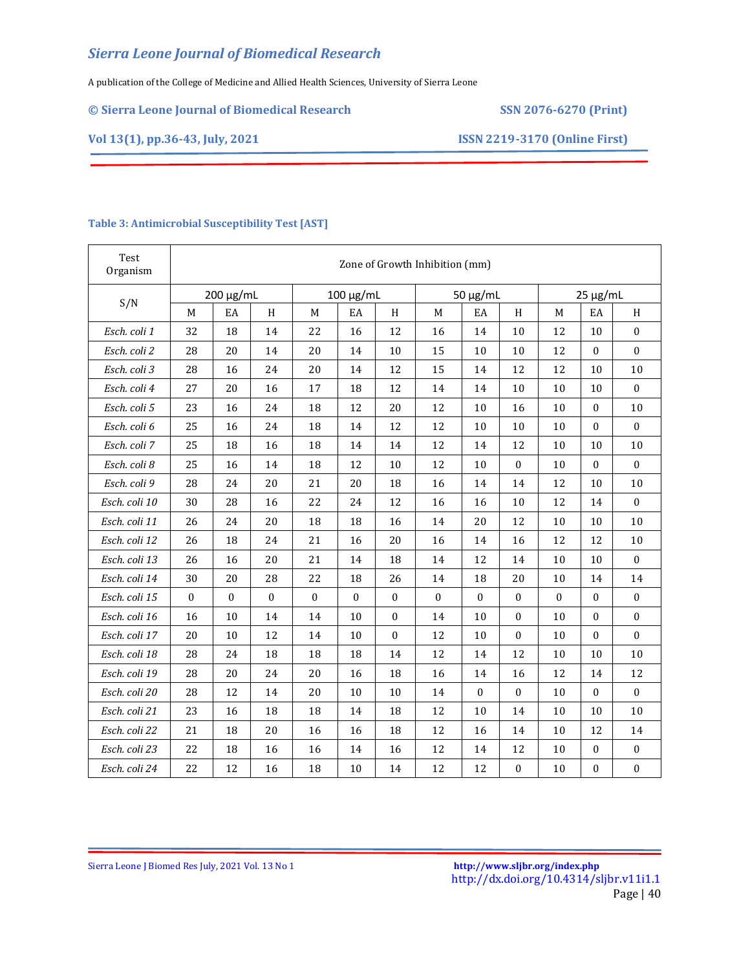A publication of the College of Medicine and Allied Health Sciences, University of Sierra Leone

## **© Sierra Leone Journal of Biomedical Research SSN 2076-6270 (Print)**

**Vol 13(1), pp.36-43, July, 2021 ISSN 2219-3170 (Online First)**

| Test<br>Organism | Zone of Growth Inhibition (mm) |           |          |           |          |               |          |               |                  |          |                  |                  |
|------------------|--------------------------------|-----------|----------|-----------|----------|---------------|----------|---------------|------------------|----------|------------------|------------------|
| S/N              |                                | 200 μg/mL |          | 100 μg/mL |          | $50 \mu g/mL$ |          | $25 \mu g/mL$ |                  |          |                  |                  |
|                  | M                              | EA        | H        | M         | EA       | H             | M        | EA            | H                | M        | EA               | H                |
| Esch. coli 1     | 32                             | 18        | 14       | 22        | 16       | 12            | 16       | 14            | 10               | 12       | 10               | $\Omega$         |
| Esch. coli 2     | 28                             | 20        | 14       | 20        | 14       | 10            | 15       | 10            | 10               | 12       | $\mathbf{0}$     | $\mathbf{0}$     |
| Esch. coli 3     | 28                             | 16        | 24       | 20        | 14       | 12            | 15       | 14            | 12               | 12       | 10               | $10\,$           |
| Esch. coli 4     | 27                             | 20        | 16       | 17        | 18       | 12            | 14       | 14            | 10               | 10       | $10\,$           | $\boldsymbol{0}$ |
| Esch. coli 5     | 23                             | 16        | 24       | 18        | 12       | 20            | 12       | 10            | 16               | 10       | $\mathbf{0}$     | 10               |
| Esch. coli 6     | 25                             | 16        | 24       | 18        | 14       | 12            | 12       | 10            | 10               | 10       | $\boldsymbol{0}$ | $\boldsymbol{0}$ |
| Esch. coli 7     | 25                             | 18        | 16       | 18        | 14       | 14            | 12       | 14            | 12               | 10       | 10               | 10               |
| Esch. coli 8     | 25                             | 16        | 14       | 18        | 12       | 10            | 12       | 10            | $\boldsymbol{0}$ | 10       | $\boldsymbol{0}$ | $\bf{0}$         |
| Esch. coli 9     | 28                             | 24        | 20       | 21        | 20       | 18            | 16       | 14            | 14               | 12       | 10               | 10               |
| Esch. coli 10    | 30                             | 28        | 16       | 22        | 24       | 12            | 16       | 16            | 10               | 12       | 14               | $\Omega$         |
| Esch. coli 11    | 26                             | 24        | 20       | 18        | 18       | 16            | 14       | 20            | 12               | 10       | 10               | 10               |
| Esch. coli 12    | 26                             | 18        | 24       | 21        | 16       | 20            | 16       | 14            | 16               | 12       | 12               | 10               |
| Esch. coli 13    | 26                             | 16        | 20       | 21        | 14       | 18            | 14       | 12            | 14               | 10       | 10               | $\boldsymbol{0}$ |
| Esch. coli 14    | 30                             | 20        | 28       | 22        | 18       | 26            | 14       | 18            | 20               | 10       | 14               | 14               |
| Esch. coli 15    | $\Omega$                       | $\Omega$  | $\Omega$ | $\Omega$  | $\Omega$ | $\mathbf{0}$  | $\Omega$ | $\Omega$      | $\mathbf{0}$     | $\Omega$ | $\mathbf{0}$     | $\mathbf{0}$     |
| Esch. coli 16    | 16                             | 10        | 14       | 14        | 10       | $\mathbf{0}$  | 14       | 10            | $\mathbf{0}$     | 10       | $\Omega$         | $\boldsymbol{0}$ |
| Esch. coli 17    | 20                             | 10        | 12       | 14        | 10       | $\mathbf{0}$  | 12       | 10            | $\mathbf{0}$     | 10       | $\mathbf{0}$     | $\boldsymbol{0}$ |
| Esch. coli 18    | 28                             | 24        | 18       | 18        | 18       | 14            | 12       | 14            | 12               | 10       | 10               | 10               |
| Esch. coli 19    | 28                             | 20        | 24       | 20        | 16       | 18            | 16       | 14            | 16               | 12       | 14               | 12               |
| Esch. coli 20    | 28                             | 12        | 14       | 20        | 10       | 10            | 14       | $\Omega$      | $\mathbf{0}$     | 10       | $\Omega$         | $\boldsymbol{0}$ |
| Esch. coli 21    | 23                             | 16        | 18       | 18        | 14       | 18            | 12       | 10            | 14               | 10       | 10               | 10               |
| Esch. coli 22    | 21                             | 18        | 20       | 16        | 16       | 18            | 12       | 16            | 14               | 10       | 12               | 14               |
| Esch. coli 23    | 22                             | 18        | 16       | 16        | 14       | 16            | 12       | 14            | 12               | 10       | $\boldsymbol{0}$ | $\boldsymbol{0}$ |
| Esch. coli 24    | 22                             | 12        | 16       | 18        | 10       | 14            | 12       | 12            | $\boldsymbol{0}$ | 10       | $\boldsymbol{0}$ | $\boldsymbol{0}$ |

### **Table 3: Antimicrobial Susceptibility Test [AST]**

Sierra Leone J Biomed Res July, 2021 Vol. 13 No 1 **<http://www.sljbr.org/index.php>**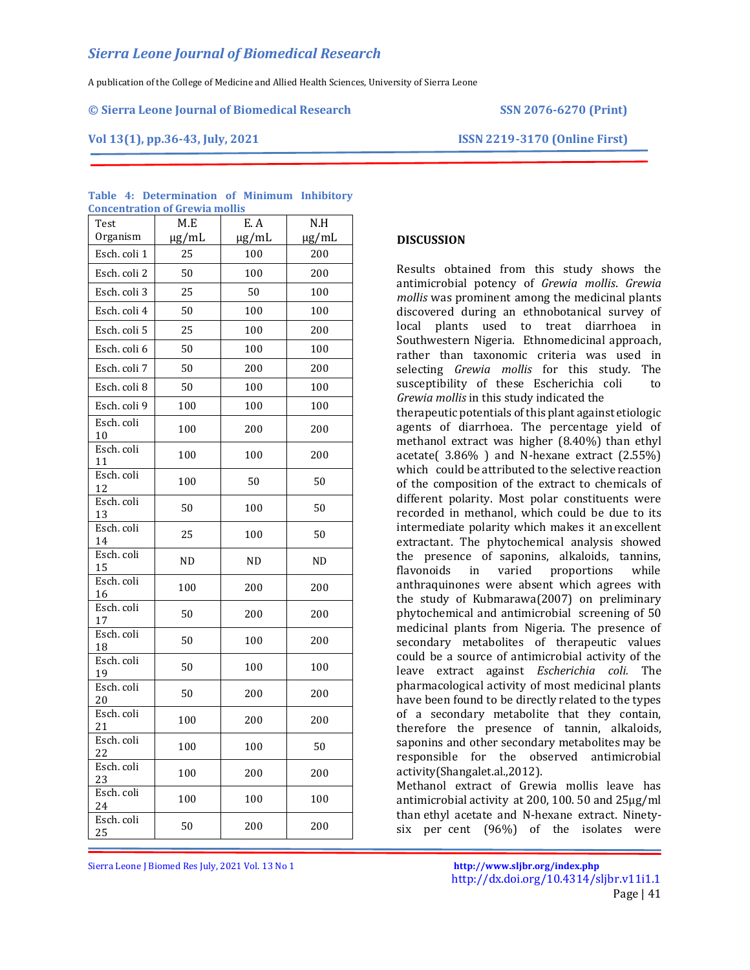A publication of the College of Medicine and Allied Health Sciences, University of Sierra Leone

#### **© Sierra Leone Journal of Biomedical Research SSN 2076-6270 (Print)**

**Vol 13(1), pp.36-43, July, 2021 ISSN 2219-3170 (Online First)**

| Test             | M.E        | E.A<br>N.H |            |
|------------------|------------|------------|------------|
| Organism         | $\mu$ g/mL | $\mu$ g/mL | $\mu$ g/mL |
| Esch. coli 1     | 25         | 100        | 200        |
| Esch. coli 2     | 50         | 100        | 200        |
| Esch. coli 3     | 25         | 50         | 100        |
| Esch. coli 4     | 50         | 100        | 100        |
| Esch. coli 5     | 25         | 100<br>200 |            |
| Esch. coli 6     | 50         | 100<br>100 |            |
| Esch. coli 7     | 50         | 200        | 200        |
| Esch. coli 8     | 50         | 100        | 100        |
| Esch. coli 9     | 100        | 100        | 100        |
| Esch. coli<br>10 | 100        | 200        | 200        |
| Esch. coli<br>11 | 100        | 100        | 200        |
| Esch. coli<br>12 | 100        | 50         | 50         |
| Esch. coli<br>13 | 50         | 100        | 50         |
| Esch. coli<br>14 | 25         | 100        |            |
| Esch. coli<br>15 | <b>ND</b>  | <b>ND</b>  |            |
| Esch. coli<br>16 | 100        | 200<br>200 |            |
| Esch. coli<br>17 | 50         | 200        | 200        |
| Esch. coli<br>18 | 50         | 100        | 200        |
| Esch. coli<br>19 | 50         | 100        | 100        |
| Esch. coli<br>20 | 50         | 200        | 200        |
| Esch. coli<br>21 | 100        | 200        | 200        |
| Esch. coli<br>22 | 100        | 100        | 50         |
| Esch. coli<br>23 | 100        | 200        | 200        |
| Esch. coli<br>24 | 100        | 100        | 100        |
| Esch. coli<br>25 | 50         | 200        | 200        |

#### **Table 4: Determination of Minimum Inhibitory Concentration of Grewia mollis**

## **DISCUSSION**

Results obtained from this study shows the antimicrobial potency of *Grewia mollis*. *Grewia mollis* was prominent among the medicinal plants discovered during an ethnobotanical survey of local plants used to treat diarrhoea in Southwestern Nigeria. Ethnomedicinal approach, rather than taxonomic criteria was used in selecting *Grewia mollis* for this study. The susceptibility of these Escherichia coli to *Grewia mollis* in this study indicated the

therapeutic potentials of this plant against etiologic agents of diarrhoea. The percentage yield of methanol extract was higher (8.40%) than ethyl acetate( 3.86% ) and N-hexane extract (2.55%) which could be attributed to the selective reaction of the composition of the extract to chemicals of different polarity. Most polar constituents were recorded in methanol, which could be due to its intermediate polarity which makes it an excellent extractant. The phytochemical analysis showed the presence of saponins, alkaloids, tannins, flavonoids in varied proportions while anthraquinones were absent which agrees with the study of Kubmarawa(2007) on preliminary phytochemical and antimicrobial screening of 50 medicinal plants from Nigeria. The presence of secondary metabolites of therapeutic values could be a source of antimicrobial activity of the leave extract against *Escherichia coli.* The pharmacological activity of most medicinal plants have been found to be directly related to the types of a secondary metabolite that they contain, therefore the presence of tannin, alkaloids, saponins and other secondary metabolites may be responsible for the observed antimicrobial activity(Shangalet.al.,2012).

Methanol extract of Grewia mollis leave has antimicrobial activity at 200, 100. 50 and 25µg/ml than ethyl acetate and N-hexane extract. Ninetysix per cent (96%) of the isolates were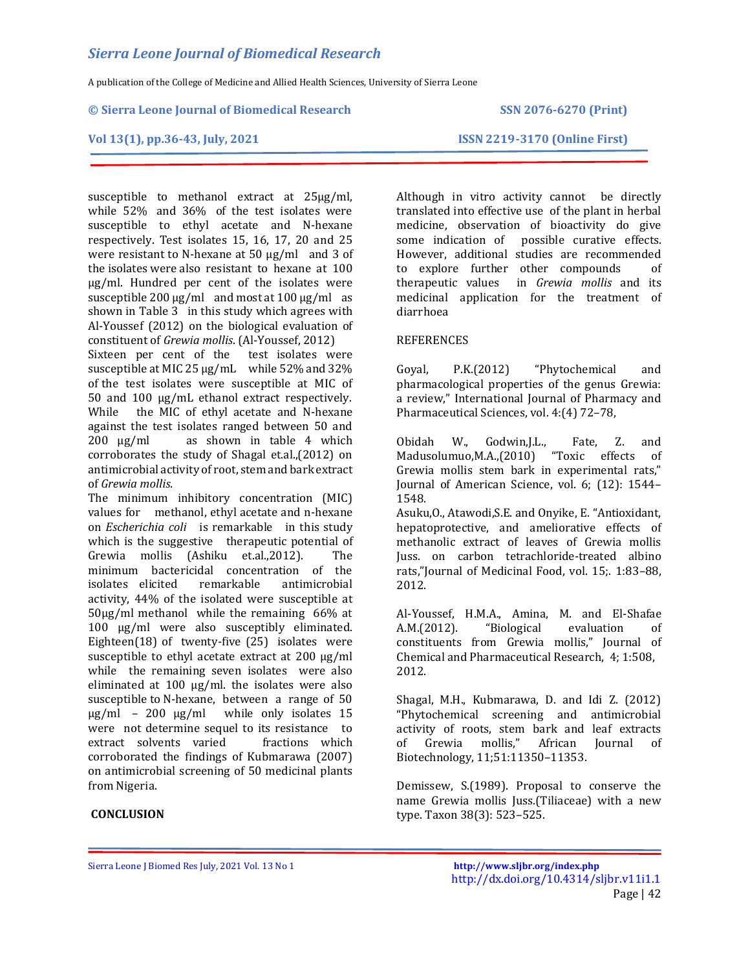A publication of the College of Medicine and Allied Health Sciences, University of Sierra Leone

#### **© Sierra Leone Journal of Biomedical Research SSN 2076-6270 (Print)**

#### **Vol 13(1), pp.36-43, July, 2021 ISSN 2219-3170 (Online First)**

susceptible to methanol extract at 25µg/ml, while 52% and 36% of the test isolates were susceptible to ethyl acetate and N-hexane respectively. Test isolates 15, 16, 17, 20 and 25 were resistant to N-hexane at 50 µg/ml and 3 of the isolates were also resistant to hexane at 100 µg/ml. Hundred per cent of the isolates were susceptible 200  $\mu$ g/ml and most at 100  $\mu$ g/ml as shown in Table 3 in this study which agrees with Al-Youssef (2012) on the biological evaluation of constituent of *Grewia mollis*. (Al-Youssef, 2012)

Sixteen per cent of the test isolates were susceptible at MIC 25 µg/mL while 52% and 32% of the test isolates were susceptible at MIC of 50 and 100 µg/mL ethanol extract respectively. While the MIC of ethyl acetate and N-hexane against the test isolates ranged between 50 and 200 µg/ml as shown in table 4 which corroborates the study of Shagal et.al.,(2012) on antimicrobial activity of root, stem and bark extract of *Grewia mollis*.

The minimum inhibitory concentration (MIC) values for methanol, ethyl acetate and n-hexane on *Escherichia coli* is remarkable in this study which is the suggestive therapeutic potential of Grewia mollis (Ashiku et.al.,2012). The minimum bactericidal concentration of the isolates elicited remarkable antimicrobial activity, 44% of the isolated were susceptible at 50µg/ml methanol while the remaining 66% at 100 µg/ml were also susceptibly eliminated. Eighteen(18) of twenty-five (25) isolates were susceptible to ethyl acetate extract at 200  $\mu$ g/ml while the remaining seven isolates were also eliminated at 100 µg/ml. the isolates were also susceptible to N-hexane, between a range of 50 µg/ml – 200 µg/ml while only isolates 15 were not determine sequel to its resistance to extract solvents varied fractions which corroborated the findings of Kubmarawa (2007) on antimicrobial screening of 50 medicinal plants from Nigeria.

## **CONCLUSION**

Although in vitro activity cannot be directly translated into effective use of the plant in herbal medicine, observation of bioactivity do give some indication of possible curative effects. However, additional studies are recommended to explore further other compounds of therapeutic values in *Grewia mollis* and its medicinal application for the treatment of diarrhoea

### REFERENCES

Goyal, P.K.(2012) "Phytochemical and pharmacological properties of the genus Grewia: a review," International Journal of Pharmacy and Pharmaceutical Sciences, vol. 4:(4) 72–78,

Obidah W., Godwin,J.L., Fate, Z. and Madusolumuo,M.A.,(2010) "Toxic effects of Grewia mollis stem bark in experimental rats," Journal of American Science, vol. 6; (12): 1544– 1548.

Asuku,O., Atawodi,S.E. and Onyike, E. "Antioxidant, hepatoprotective, and ameliorative effects of methanolic extract of leaves of Grewia mollis Juss. on carbon tetrachloride-treated albino rats,"Journal of Medicinal Food, vol. 15;. 1:83–88, 2012.

Al-Youssef, H.M.A., Amina, M. and El-Shafae A.M.(2012). "Biological evaluation of constituents from Grewia mollis," Journal of Chemical and Pharmaceutical Research, 4; 1:508, 2012.

Shagal, M.H., Kubmarawa, D. and Idi Z. (2012) "Phytochemical screening and antimicrobial activity of roots, stem bark and leaf extracts of Grewia mollis," African Journal of Biotechnology, 11;51:11350–11353.

Demissew, S.(1989). Proposal to conserve the name Grewia mollis Juss.(Tiliaceae) with a new type. Taxon 38(3): 523–525.